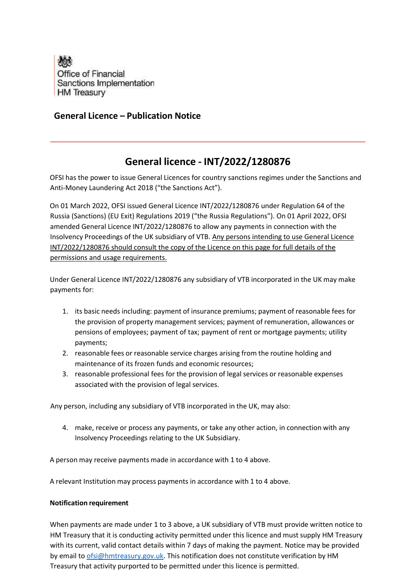

## **General Licence – Publication Notice**

## **General licence - INT/2022/1280876**

OFSI has the power to issue General Licences for country sanctions regimes under the Sanctions and Anti-Money Laundering Act 2018 ("the Sanctions Act").

On 01 March 2022, OFSI issued General Licence INT/2022/1280876 under Regulation 64 of the Russia (Sanctions) (EU Exit) Regulations 2019 ("the Russia Regulations"). On 01 April 2022, OFSI amended General Licence INT/2022/1280876 to allow any payments in connection with the Insolvency Proceedings of the UK subsidiary of VTB. Any persons intending to use General Licence INT/2022/1280876 should consult the copy of the Licence on this page for full details of the permissions and usage requirements.

Under General Licence INT/2022/1280876 any subsidiary of VTB incorporated in the UK may make payments for:

- 1. its basic needs including: payment of insurance premiums; payment of reasonable fees for the provision of property management services; payment of remuneration, allowances or pensions of employees; payment of tax; payment of rent or mortgage payments; utility payments;
- 2. reasonable fees or reasonable service charges arising from the routine holding and maintenance of its frozen funds and economic resources;
- 3. reasonable professional fees for the provision of legal services or reasonable expenses associated with the provision of legal services.

Any person, including any subsidiary of VTB incorporated in the UK, may also:

4. make, receive or process any payments, or take any other action, in connection with any Insolvency Proceedings relating to the UK Subsidiary.

A person may receive payments made in accordance with 1 to 4 above.

A relevant Institution may process payments in accordance with 1 to 4 above.

## **Notification requirement**

When payments are made under 1 to 3 above, a UK subsidiary of VTB must provide written notice to HM Treasury that it is conducting activity permitted under this licence and must supply HM Treasury with its current, valid contact details within 7 days of making the payment. Notice may be provided by email to [ofsi@hmtreasury.gov.uk.](mailto:ofsi@hmtreasury.gov.uk) This notification does not constitute verification by HM Treasury that activity purported to be permitted under this licence is permitted.